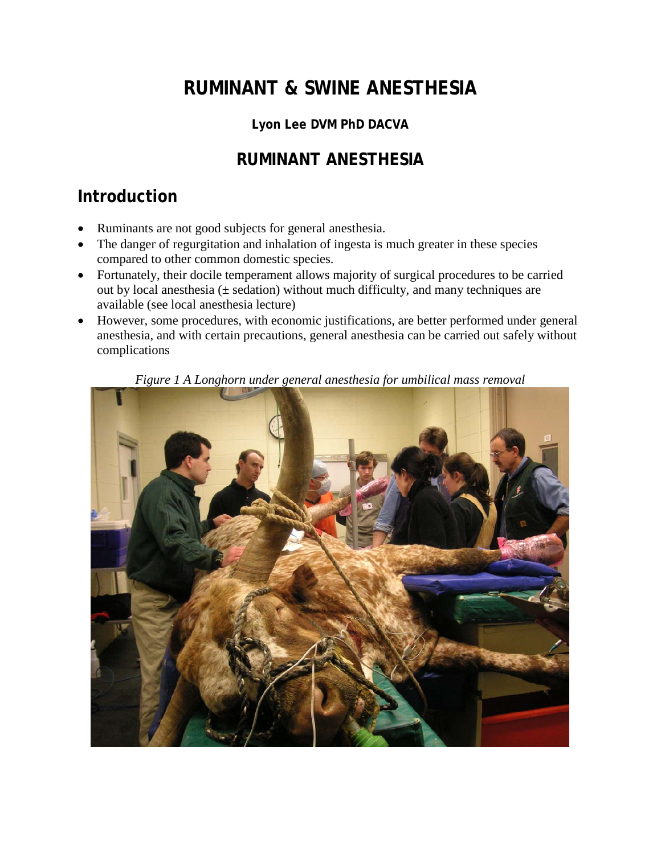# **RUMINANT & SWINE ANESTHESIA**

## **Lyon Lee DVM PhD DACVA**

## **RUMINANT ANESTHESIA**

## **Introduction**

- Ruminants are not good subjects for general anesthesia.
- The danger of regurgitation and inhalation of ingesta is much greater in these species compared to other common domestic species.
- Fortunately, their docile temperament allows majority of surgical procedures to be carried out by local anesthesia ( $\pm$  sedation) without much difficulty, and many techniques are available (see local anesthesia lecture)
- However, some procedures, with economic justifications, are better performed under general anesthesia, and with certain precautions, general anesthesia can be carried out safely without complications



*Figure 1 A Longhorn under general anesthesia for umbilical mass removal*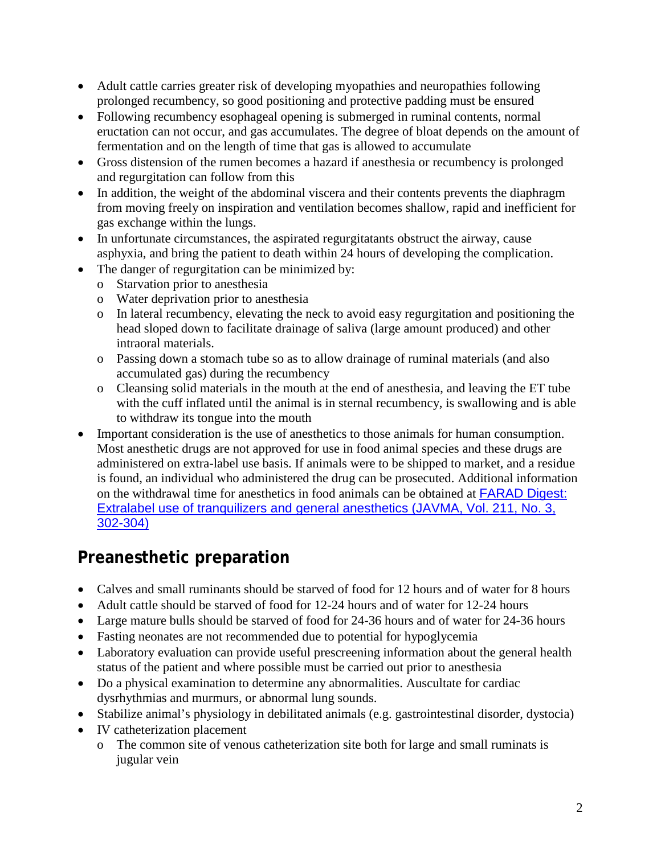- Adult cattle carries greater risk of developing myopathies and neuropathies following prolonged recumbency, so good positioning and protective padding must be ensured
- Following recumbency esophageal opening is submerged in ruminal contents, normal eructation can not occur, and gas accumulates. The degree of bloat depends on the amount of fermentation and on the length of time that gas is allowed to accumulate
- Gross distension of the rumen becomes a hazard if anesthesia or recumbency is prolonged and regurgitation can follow from this
- In addition, the weight of the abdominal viscera and their contents prevents the diaphragm from moving freely on inspiration and ventilation becomes shallow, rapid and inefficient for gas exchange within the lungs.
- In unfortunate circumstances, the aspirated regurgitatants obstruct the airway, cause asphyxia, and bring the patient to death within 24 hours of developing the complication.
- The danger of regurgitation can be minimized by:
	- o Starvation prior to anesthesia
	- o Water deprivation prior to anesthesia
	- o In lateral recumbency, elevating the neck to avoid easy regurgitation and positioning the head sloped down to facilitate drainage of saliva (large amount produced) and other intraoral materials.
	- o Passing down a stomach tube so as to allow drainage of ruminal materials (and also accumulated gas) during the recumbency
	- o Cleansing solid materials in the mouth at the end of anesthesia, and leaving the ET tube with the cuff inflated until the animal is in sternal recumbency, is swallowing and is able to withdraw its tongue into the mouth
- Important consideration is the use of anesthetics to those animals for human consumption. Most anesthetic drugs are not approved for use in food animal species and these drugs are administered on extra-label use basis. If animals were to be shipped to market, and a residue is found, an individual who administered the drug can be prosecuted. Additional information on the withdrawal time for anesthetics in food animals can be obtained at [FARAD Digest:](http://www.cvm.okstate.edu/courses/vmed5412/pdf/farad.pdf)  [Extralabel use of tranquilizers and general anesthetics \(JAVMA, Vol. 211, No. 3,](http://www.cvm.okstate.edu/courses/vmed5412/pdf/farad.pdf)  [302-304\)](http://www.cvm.okstate.edu/courses/vmed5412/pdf/farad.pdf)

# **Preanesthetic preparation**

- Calves and small ruminants should be starved of food for 12 hours and of water for 8 hours
- Adult cattle should be starved of food for 12-24 hours and of water for 12-24 hours
- Large mature bulls should be starved of food for 24-36 hours and of water for 24-36 hours
- Fasting neonates are not recommended due to potential for hypoglycemia
- Laboratory evaluation can provide useful prescreening information about the general health status of the patient and where possible must be carried out prior to anesthesia
- Do a physical examination to determine any abnormalities. Auscultate for cardiac dysrhythmias and murmurs, or abnormal lung sounds.
- Stabilize animal's physiology in debilitated animals (e.g. gastrointestinal disorder, dystocia)
- IV catheterization placement
	- o The common site of venous catheterization site both for large and small ruminats is jugular vein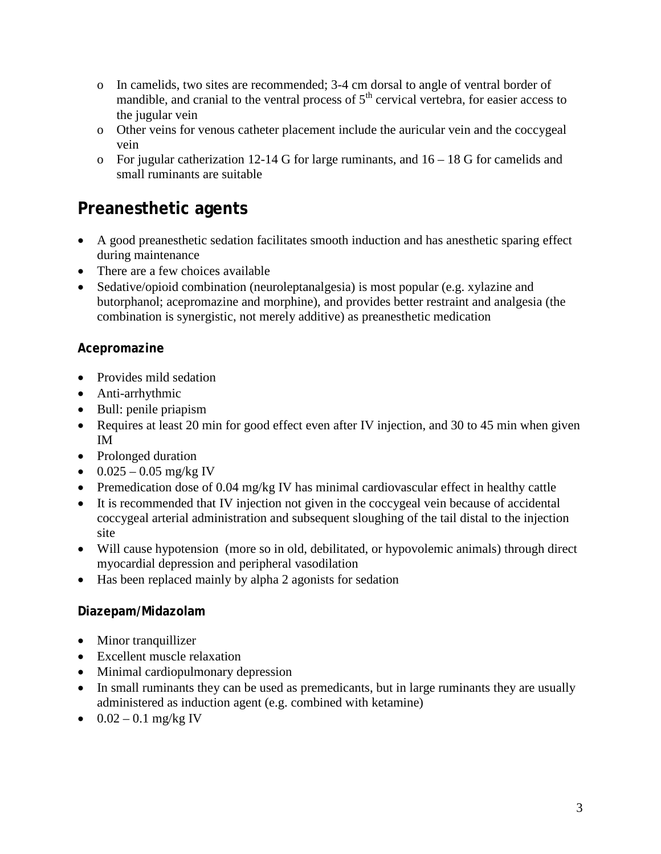- o In camelids, two sites are recommended; 3-4 cm dorsal to angle of ventral border of mandible, and cranial to the ventral process of  $5<sup>th</sup>$  cervical vertebra, for easier access to the jugular vein
- o Other veins for venous catheter placement include the auricular vein and the coccygeal vein
- o For jugular catherization 12-14 G for large ruminants, and 16 18 G for camelids and small ruminants are suitable

## **Preanesthetic agents**

- A good preanesthetic sedation facilitates smooth induction and has anesthetic sparing effect during maintenance
- There are a few choices available
- Sedative/opioid combination (neuroleptanalgesia) is most popular (e.g. xylazine and butorphanol; acepromazine and morphine), and provides better restraint and analgesia (the combination is synergistic, not merely additive) as preanesthetic medication

### **Acepromazine**

- Provides mild sedation
- Anti-arrhythmic
- Bull: penile priapism
- Requires at least 20 min for good effect even after IV injection, and 30 to 45 min when given IM
- Prolonged duration
- $0.025 0.05$  mg/kg IV
- Premedication dose of 0.04 mg/kg IV has minimal cardiovascular effect in healthy cattle
- It is recommended that IV injection not given in the coccygeal vein because of accidental coccygeal arterial administration and subsequent sloughing of the tail distal to the injection site
- Will cause hypotension (more so in old, debilitated, or hypovolemic animals) through direct myocardial depression and peripheral vasodilation
- Has been replaced mainly by alpha 2 agonists for sedation

#### **Diazepam/Midazolam**

- Minor tranquillizer
- Excellent muscle relaxation
- Minimal cardiopulmonary depression
- In small ruminants they can be used as premedicants, but in large ruminants they are usually administered as induction agent (e.g. combined with ketamine)
- $0.02 0.1$  mg/kg IV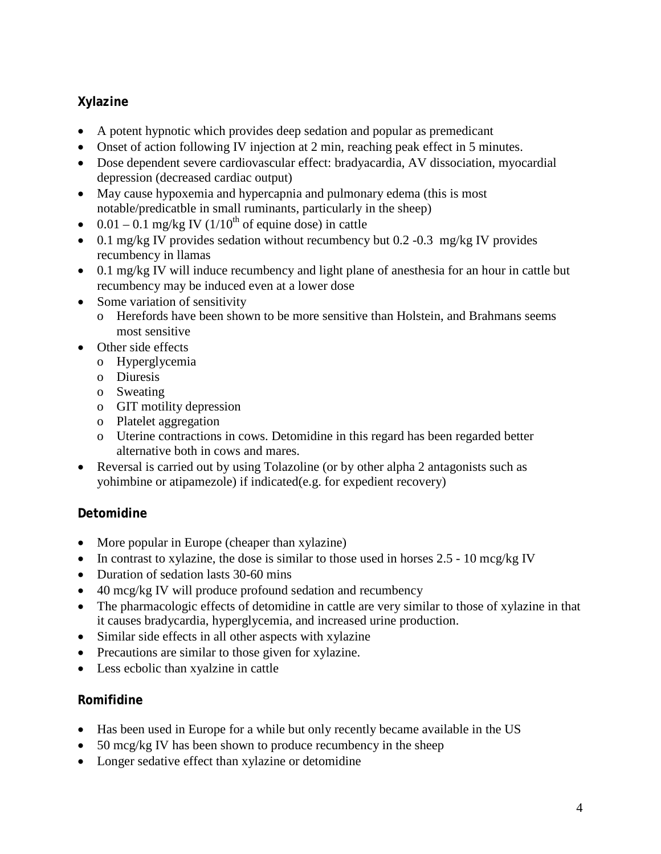### **Xylazine**

- A potent hypnotic which provides deep sedation and popular as premedicant
- Onset of action following IV injection at 2 min, reaching peak effect in 5 minutes.
- Dose dependent severe cardiovascular effect: bradyacardia, AV dissociation, myocardial depression (decreased cardiac output)
- May cause hypoxemia and hypercapnia and pulmonary edema (this is most notable/predicatble in small ruminants, particularly in the sheep)
- 0.01 0.1 mg/kg IV  $(1/10<sup>th</sup>$  of equine dose) in cattle
- 0.1 mg/kg IV provides sedation without recumbency but 0.2 -0.3 mg/kg IV provides recumbency in llamas
- 0.1 mg/kg IV will induce recumbency and light plane of anesthesia for an hour in cattle but recumbency may be induced even at a lower dose
- Some variation of sensitivity
	- o Herefords have been shown to be more sensitive than Holstein, and Brahmans seems most sensitive
- Other side effects
	- o Hyperglycemia
	- o Diuresis
	- o Sweating
	- o GIT motility depression
	- o Platelet aggregation
	- o Uterine contractions in cows. Detomidine in this regard has been regarded better alternative both in cows and mares.
- Reversal is carried out by using Tolazoline (or by other alpha 2 antagonists such as yohimbine or atipamezole) if indicated(e.g. for expedient recovery)

### **Detomidine**

- More popular in Europe (cheaper than xylazine)
- In contrast to xylazine, the dose is similar to those used in horses 2.5 10 mcg/kg IV
- Duration of sedation lasts 30-60 mins
- 40 mcg/kg IV will produce profound sedation and recumbency
- The pharmacologic effects of detomidine in cattle are very similar to those of xylazine in that it causes bradycardia, hyperglycemia, and increased urine production.
- Similar side effects in all other aspects with xylazine
- Precautions are similar to those given for xylazine.
- Less ecbolic than xyalzine in cattle

#### **Romifidine**

- Has been used in Europe for a while but only recently became available in the US
- 50 mcg/kg IV has been shown to produce recumbency in the sheep
- Longer sedative effect than xylazine or detomidine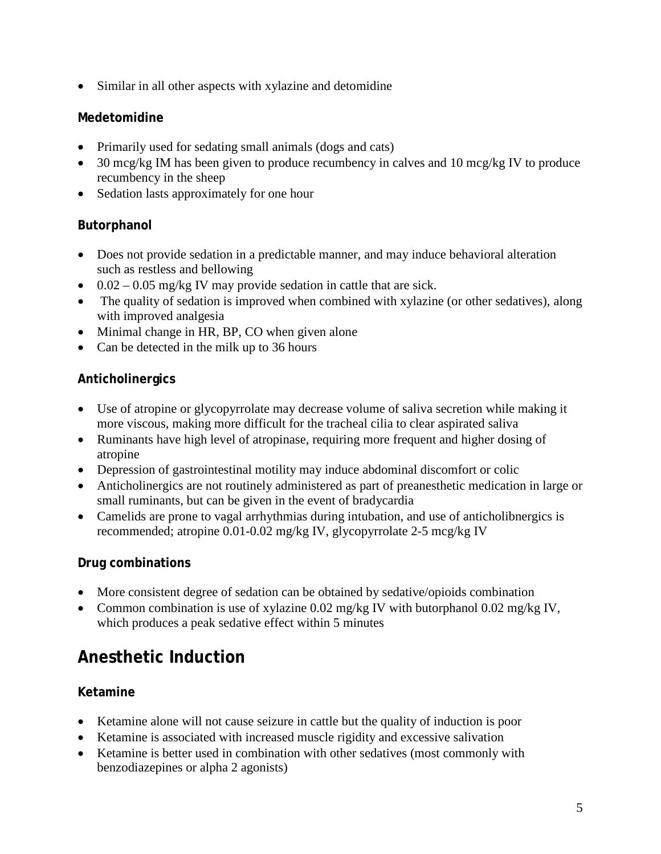• Similar in all other aspects with xylazine and detomidine

### **Medetomidine**

- Primarily used for sedating small animals (dogs and cats)
- 30 mcg/kg IM has been given to produce recumbency in calves and 10 mcg/kg IV to produce recumbency in the sheep
- Sedation lasts approximately for one hour

### **Butorphanol**

- Does not provide sedation in a predictable manner, and may induce behavioral alteration such as restless and bellowing
- $0.02 0.05$  mg/kg IV may provide sedation in cattle that are sick.
- The quality of sedation is improved when combined with xylazine (or other sedatives), along with improved analgesia
- Minimal change in HR, BP, CO when given alone
- Can be detected in the milk up to 36 hours

### **Anticholinergics**

- Use of atropine or glycopyrrolate may decrease volume of saliva secretion while making it more viscous, making more difficult for the tracheal cilia to clear aspirated saliva
- Ruminants have high level of atropinase, requiring more frequent and higher dosing of atropine
- Depression of gastrointestinal motility may induce abdominal discomfort or colic
- Anticholinergics are not routinely administered as part of preanesthetic medication in large or small ruminants, but can be given in the event of bradycardia
- Camelids are prone to vagal arrhythmias during intubation, and use of anticholibnergics is recommended; atropine 0.01-0.02 mg/kg IV, glycopyrrolate 2-5 mcg/kg IV

### **Drug combinations**

- More consistent degree of sedation can be obtained by sedative/opioids combination
- Common combination is use of xylazine 0.02 mg/kg IV with butorphanol 0.02 mg/kg IV, which produces a peak sedative effect within 5 minutes

# **Anesthetic Induction**

### **Ketamine**

- Ketamine alone will not cause seizure in cattle but the quality of induction is poor
- Ketamine is associated with increased muscle rigidity and excessive salivation
- Ketamine is better used in combination with other sedatives (most commonly with benzodiazepines or alpha 2 agonists)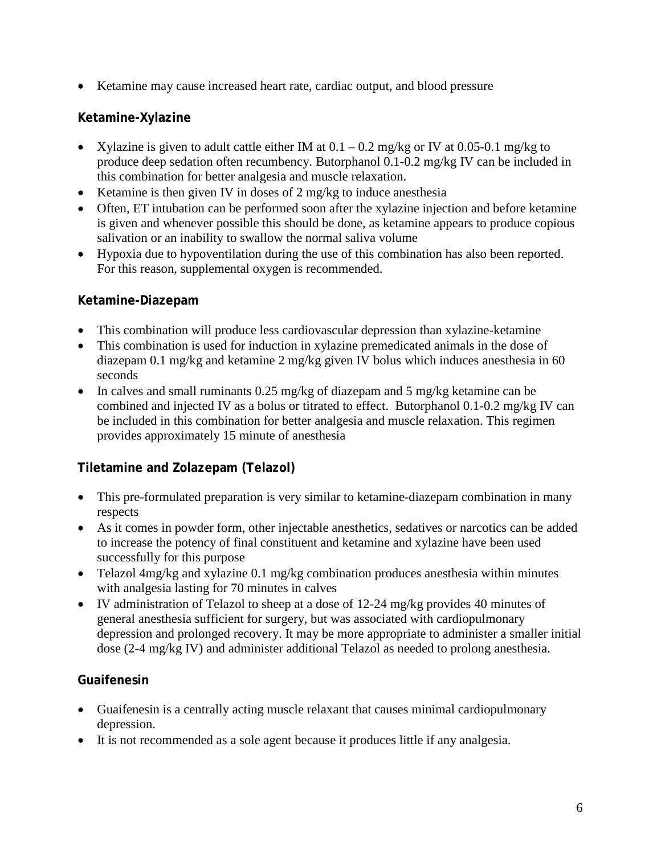• Ketamine may cause increased heart rate, cardiac output, and blood pressure

#### **Ketamine-Xylazine**

- Xylazine is given to adult cattle either IM at  $0.1 0.2$  mg/kg or IV at  $0.05 0.1$  mg/kg to produce deep sedation often recumbency. Butorphanol 0.1-0.2 mg/kg IV can be included in this combination for better analgesia and muscle relaxation.
- Ketamine is then given IV in doses of 2 mg/kg to induce anesthesia
- Often, ET intubation can be performed soon after the xylazine injection and before ketamine is given and whenever possible this should be done, as ketamine appears to produce copious salivation or an inability to swallow the normal saliva volume
- Hypoxia due to hypoventilation during the use of this combination has also been reported. For this reason, supplemental oxygen is recommended.

#### **Ketamine-Diazepam**

- This combination will produce less cardiovascular depression than xylazine-ketamine
- This combination is used for induction in xylazine premedicated animals in the dose of diazepam 0.1 mg/kg and ketamine 2 mg/kg given IV bolus which induces anesthesia in 60 seconds
- In calves and small ruminants 0.25 mg/kg of diazepam and 5 mg/kg ketamine can be combined and injected IV as a bolus or titrated to effect. Butorphanol 0.1-0.2 mg/kg IV can be included in this combination for better analgesia and muscle relaxation. This regimen provides approximately 15 minute of anesthesia

### **Tiletamine and Zolazepam (Telazol)**

- This pre-formulated preparation is very similar to ketamine-diazepam combination in many respects
- As it comes in powder form, other injectable anesthetics, sedatives or narcotics can be added to increase the potency of final constituent and ketamine and xylazine have been used successfully for this purpose
- Telazol 4mg/kg and xylazine 0.1 mg/kg combination produces anesthesia within minutes with analgesia lasting for 70 minutes in calves
- IV administration of Telazol to sheep at a dose of 12-24 mg/kg provides 40 minutes of general anesthesia sufficient for surgery, but was associated with cardiopulmonary depression and prolonged recovery. It may be more appropriate to administer a smaller initial dose (2-4 mg/kg IV) and administer additional Telazol as needed to prolong anesthesia.

#### **Guaifenesin**

- Guaifenesin is a centrally acting muscle relaxant that causes minimal cardiopulmonary depression.
- It is not recommended as a sole agent because it produces little if any analgesia.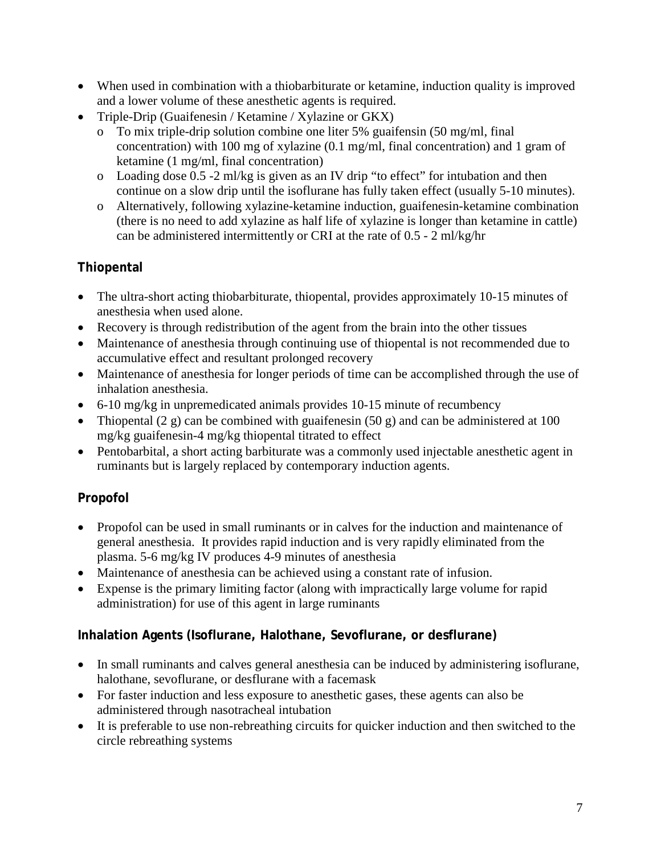- When used in combination with a thiobarbiturate or ketamine, induction quality is improved and a lower volume of these anesthetic agents is required.
- Triple-Drip (Guaifenesin / Ketamine / Xylazine or GKX)
	- o To mix triple-drip solution combine one liter 5% guaifensin (50 mg/ml, final concentration) with 100 mg of xylazine (0.1 mg/ml, final concentration) and 1 gram of ketamine (1 mg/ml, final concentration)
	- o Loading dose 0.5 -2 ml/kg is given as an IV drip "to effect" for intubation and then continue on a slow drip until the isoflurane has fully taken effect (usually 5-10 minutes).
	- o Alternatively, following xylazine-ketamine induction, guaifenesin-ketamine combination (there is no need to add xylazine as half life of xylazine is longer than ketamine in cattle) can be administered intermittently or CRI at the rate of 0.5 - 2 ml/kg/hr

### **Thiopental**

- The ultra-short acting thiobarbiturate, thiopental, provides approximately 10-15 minutes of anesthesia when used alone.
- Recovery is through redistribution of the agent from the brain into the other tissues
- Maintenance of anesthesia through continuing use of thiopental is not recommended due to accumulative effect and resultant prolonged recovery
- Maintenance of anesthesia for longer periods of time can be accomplished through the use of inhalation anesthesia.
- 6-10 mg/kg in unpremedicated animals provides 10-15 minute of recumbency
- Thiopental  $(2 \text{ g})$  can be combined with guaifenesin  $(50 \text{ g})$  and can be administered at 100 mg/kg guaifenesin-4 mg/kg thiopental titrated to effect
- Pentobarbital, a short acting barbiturate was a commonly used injectable anesthetic agent in ruminants but is largely replaced by contemporary induction agents.

## **Propofol**

- Propofol can be used in small ruminants or in calves for the induction and maintenance of general anesthesia. It provides rapid induction and is very rapidly eliminated from the plasma. 5-6 mg/kg IV produces 4-9 minutes of anesthesia
- Maintenance of anesthesia can be achieved using a constant rate of infusion.
- Expense is the primary limiting factor (along with impractically large volume for rapid administration) for use of this agent in large ruminants

### **Inhalation Agents (Isoflurane, Halothane, Sevoflurane, or desflurane)**

- In small ruminants and calves general anesthesia can be induced by administering isoflurane, halothane, sevoflurane, or desflurane with a facemask
- For faster induction and less exposure to anesthetic gases, these agents can also be administered through nasotracheal intubation
- It is preferable to use non-rebreathing circuits for quicker induction and then switched to the circle rebreathing systems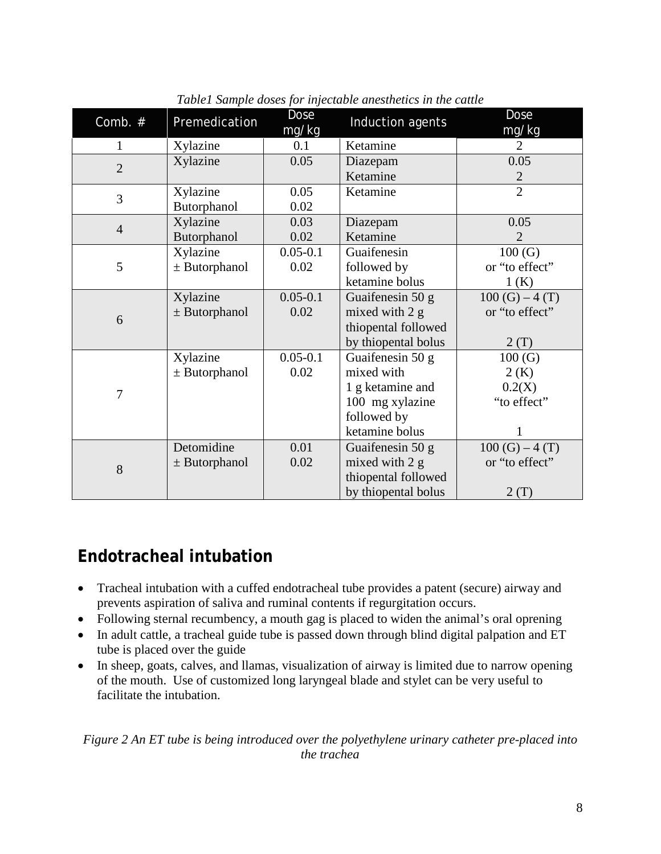| Comb. #        | Premedication     | <b>Dose</b><br>mg/kg | Induction agents    | <b>Dose</b><br>mg/kg |  |
|----------------|-------------------|----------------------|---------------------|----------------------|--|
| $\mathbf{1}$   | Xylazine          | 0.1                  | Ketamine            | 2                    |  |
| $\overline{2}$ | Xylazine          | 0.05                 | Diazepam            | 0.05                 |  |
|                |                   |                      | Ketamine            | $\mathbf{2}$         |  |
| 3              | Xylazine          | 0.05                 | Ketamine            | $\overline{2}$       |  |
|                | Butorphanol       | 0.02                 |                     |                      |  |
| $\overline{4}$ | Xylazine          | 0.03                 | Diazepam            | 0.05                 |  |
|                | Butorphanol       | 0.02                 | Ketamine            | $\overline{2}$       |  |
| 5              | Xylazine          | $0.05 - 0.1$         | Guaifenesin         | 100(G)               |  |
|                | $±$ Butorphanol   | 0.02                 | followed by         | or "to effect"       |  |
|                |                   |                      | ketamine bolus      | 1(K)                 |  |
| 6              | Xylazine          | $0.05 - 0.1$         | Guaifenesin 50 g    | $100(G) - 4(T)$      |  |
|                | $\pm$ Butorphanol | 0.02                 | mixed with 2 g      | or "to effect"       |  |
|                |                   |                      | thiopental followed |                      |  |
|                |                   |                      | by thiopental bolus | 2(T)                 |  |
| $\overline{7}$ | Xylazine          | $0.05 - 0.1$         | Guaifenesin 50 g    | 100(G)               |  |
|                | $±$ Butorphanol   | 0.02                 | mixed with          | 2(K)                 |  |
|                |                   |                      | 1 g ketamine and    | 0.2(X)               |  |
|                |                   |                      | 100 mg xylazine     | "to effect"          |  |
|                |                   |                      | followed by         |                      |  |
|                |                   |                      | ketamine bolus      | 1                    |  |
| 8              | Detomidine        | 0.01                 | Guaifenesin 50 g    | $100(G) - 4(T)$      |  |
|                | $\pm$ Butorphanol | 0.02                 | mixed with 2 g      | or "to effect"       |  |
|                |                   |                      | thiopental followed |                      |  |
|                |                   |                      | by thiopental bolus | 2(T)                 |  |

*Table1 Sample doses for injectable anesthetics in the cattle*

## **Endotracheal intubation**

- Tracheal intubation with a cuffed endotracheal tube provides a patent (secure) airway and prevents aspiration of saliva and ruminal contents if regurgitation occurs.
- Following sternal recumbency, a mouth gag is placed to widen the animal's oral oprening
- In adult cattle, a tracheal guide tube is passed down through blind digital palpation and ET tube is placed over the guide
- In sheep, goats, calves, and llamas, visualization of airway is limited due to narrow opening of the mouth. Use of customized long laryngeal blade and stylet can be very useful to facilitate the intubation.

#### *Figure 2 An ET tube is being introduced over the polyethylene urinary catheter pre-placed into the trachea*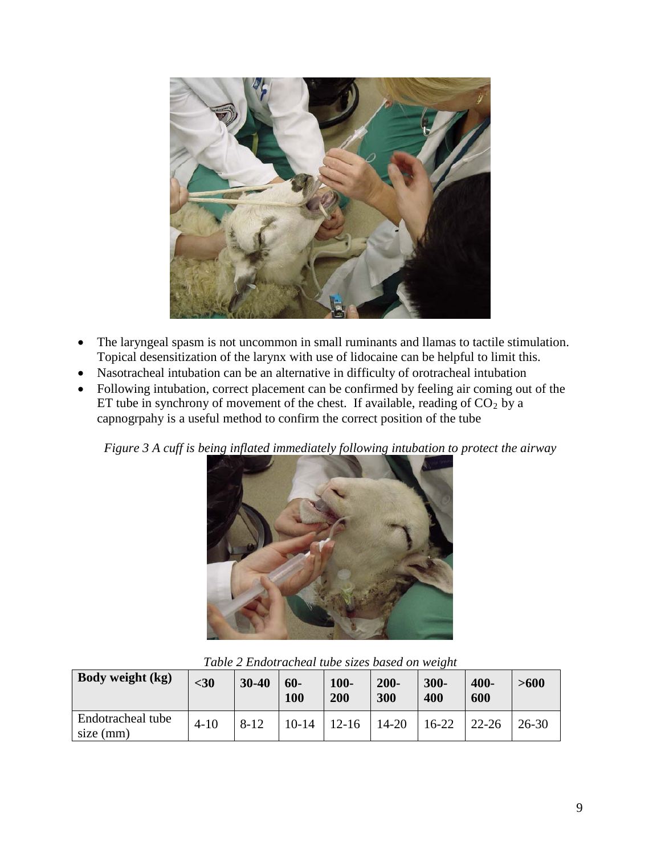

- The laryngeal spasm is not uncommon in small ruminants and llamas to tactile stimulation. Topical desensitization of the larynx with use of lidocaine can be helpful to limit this.
- Nasotracheal intubation can be an alternative in difficulty of orotracheal intubation
- Following intubation, correct placement can be confirmed by feeling air coming out of the ET tube in synchrony of movement of the chest. If available, reading of  $CO<sub>2</sub>$  by a capnogrpahy is a useful method to confirm the correct position of the tube

*Figure 3 A cuff is being inflated immediately following intubation to protect the airway*



| Body weight (kg)               | $30$     | 30-40    | $60 -$<br>100 | $100 -$<br>200 | $200 -$<br>300 | $300 -$<br>400 | 400-<br>600 | >600      |
|--------------------------------|----------|----------|---------------|----------------|----------------|----------------|-------------|-----------|
| Endotracheal tube<br>size (mm) | $4 - 10$ | $8 - 12$ | $10 - 14$     | $12 - 16$      | $14 - 20$      | $16-22$        | $22 - 26$   | $26 - 30$ |

*Table 2 Endotracheal tube sizes based on weight*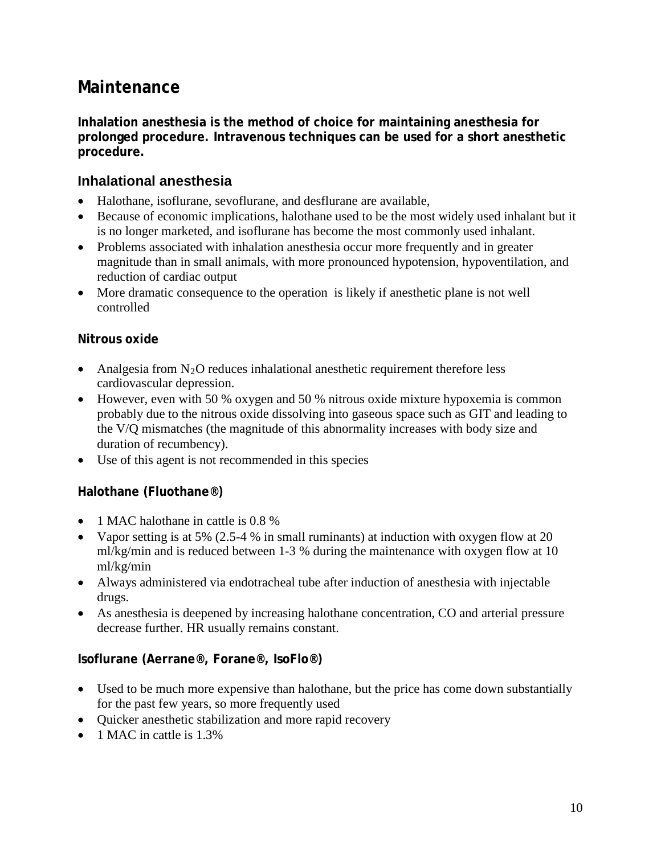## **Maintenance**

**Inhalation anesthesia is the method of choice for maintaining anesthesia for prolonged procedure. Intravenous techniques can be used for a short anesthetic procedure.**

### **Inhalational anesthesia**

- Halothane, isoflurane, sevoflurane, and desflurane are available,
- Because of economic implications, halothane used to be the most widely used inhalant but it is no longer marketed, and isoflurane has become the most commonly used inhalant.
- Problems associated with inhalation anesthesia occur more frequently and in greater magnitude than in small animals, with more pronounced hypotension, hypoventilation, and reduction of cardiac output
- More dramatic consequence to the operation is likely if anesthetic plane is not well controlled

#### **Nitrous oxide**

- Analgesia from  $N_2O$  reduces inhalational anesthetic requirement therefore less cardiovascular depression.
- However, even with 50 % oxygen and 50 % nitrous oxide mixture hypoxemia is common probably due to the nitrous oxide dissolving into gaseous space such as GIT and leading to the V/Q mismatches (the magnitude of this abnormality increases with body size and duration of recumbency).
- Use of this agent is not recommended in this species

### **Halothane (Fluothane®)**

- 1 MAC halothane in cattle is 0.8 %
- Vapor setting is at 5% (2.5-4 % in small ruminants) at induction with oxygen flow at 20 ml/kg/min and is reduced between 1-3 % during the maintenance with oxygen flow at 10 ml/kg/min
- Always administered via endotracheal tube after induction of anesthesia with injectable drugs.
- As anesthesia is deepened by increasing halothane concentration, CO and arterial pressure decrease further. HR usually remains constant.

#### **Isoflurane (Aerrane®, Forane®, IsoFlo®)**

- Used to be much more expensive than halothane, but the price has come down substantially for the past few years, so more frequently used
- Quicker anesthetic stabilization and more rapid recovery
- 1 MAC in cattle is 1.3%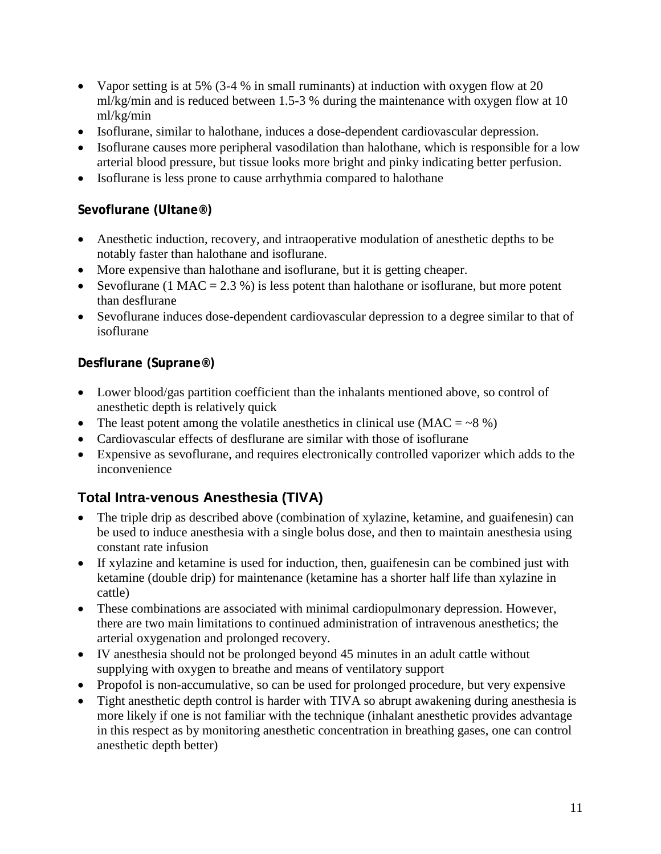- Vapor setting is at 5% (3-4 % in small ruminants) at induction with oxygen flow at 20 ml/kg/min and is reduced between 1.5-3 % during the maintenance with oxygen flow at 10 ml/kg/min
- Isoflurane, similar to halothane, induces a dose-dependent cardiovascular depression.
- Isoflurane causes more peripheral vasodilation than halothane, which is responsible for a low arterial blood pressure, but tissue looks more bright and pinky indicating better perfusion.
- Isoflurane is less prone to cause arrhythmia compared to halothane

### **Sevoflurane (Ultane®)**

- Anesthetic induction, recovery, and intraoperative modulation of anesthetic depths to be notably faster than halothane and isoflurane.
- More expensive than halothane and isoflurane, but it is getting cheaper.
- [Sevoflurane](javascript:fileName=) (1 MAC = 2.3 %) is less potent than [halothane](javascript:fileName=) or [isoflurane,](javascript:fileName=) but more potent than [desflurane](javascript:fileName=)
- [Sevoflurane](javascript:fileName=) induces dose-dependent cardiovascular depression to a degree similar to that of [isoflurane](javascript:fileName=)

### **Desflurane (Suprane®)**

- Lower blood/gas partition coefficient than the inhalants mentioned above, so control of anesthetic depth is relatively quick
- The least potent among the volatile anesthetics in clinical use  $(MAC = -8\%)$
- Cardiovascular effects of [desflurane](javascript:fileName=) are similar with those of [isoflurane](javascript:fileName=)
- Expensive as sevoflurane, and requires electronically controlled vaporizer which adds to the inconvenience

## **Total Intra-venous Anesthesia (TIVA)**

- The triple drip as described above (combination of xylazine, ketamine, and guaifenesin) can be used to induce anesthesia with a single bolus dose, and then to maintain anesthesia using constant rate infusion
- If xylazine and ketamine is used for induction, then, guaifenesin can be combined just with ketamine (double drip) for maintenance (ketamine has a shorter half life than xylazine in cattle)
- These combinations are associated with minimal cardiopulmonary depression. However, there are two main limitations to continued administration of intravenous anesthetics; the arterial oxygenation and prolonged recovery.
- IV anesthesia should not be prolonged beyond 45 minutes in an adult cattle without supplying with oxygen to breathe and means of ventilatory support
- Propofol is non-accumulative, so can be used for prolonged procedure, but very expensive
- Tight anesthetic depth control is harder with TIVA so abrupt awakening during anesthesia is more likely if one is not familiar with the technique (inhalant anesthetic provides advantage in this respect as by monitoring anesthetic concentration in breathing gases, one can control anesthetic depth better)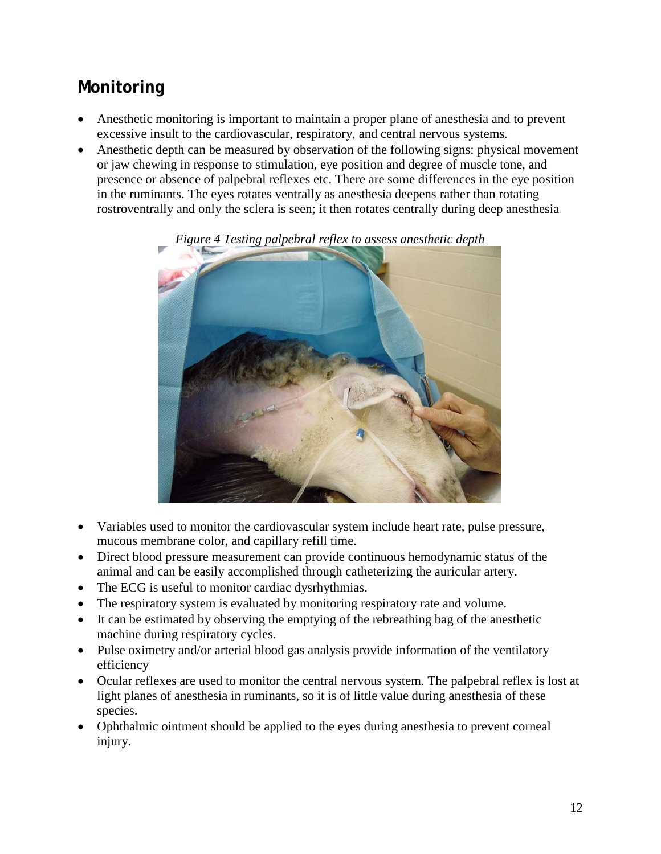# **Monitoring**

- Anesthetic monitoring is important to maintain a proper plane of anesthesia and to prevent excessive insult to the cardiovascular, respiratory, and central nervous systems.
- Anesthetic depth can be measured by observation of the following signs: physical movement or jaw chewing in response to stimulation, eye position and degree of muscle tone, and presence or absence of palpebral reflexes etc. There are some differences in the eye position in the ruminants. The eyes rotates ventrally as anesthesia deepens rather than rotating rostroventrally and only the sclera is seen; it then rotates centrally during deep anesthesia



#### *Figure 4 Testing palpebral reflex to assess anesthetic depth*

- Variables used to monitor the cardiovascular system include heart rate, pulse pressure, mucous membrane color, and capillary refill time.
- Direct blood pressure measurement can provide continuous hemodynamic status of the animal and can be easily accomplished through catheterizing the auricular artery.
- The ECG is useful to monitor cardiac dysrhythmias.
- The respiratory system is evaluated by monitoring respiratory rate and volume.
- It can be estimated by observing the emptying of the rebreathing bag of the anesthetic machine during respiratory cycles.
- Pulse oximetry and/or arterial blood gas analysis provide information of the ventilatory efficiency
- Ocular reflexes are used to monitor the central nervous system. The palpebral reflex is lost at light planes of anesthesia in ruminants, so it is of little value during anesthesia of these species.
- Ophthalmic ointment should be applied to the eyes during anesthesia to prevent corneal injury.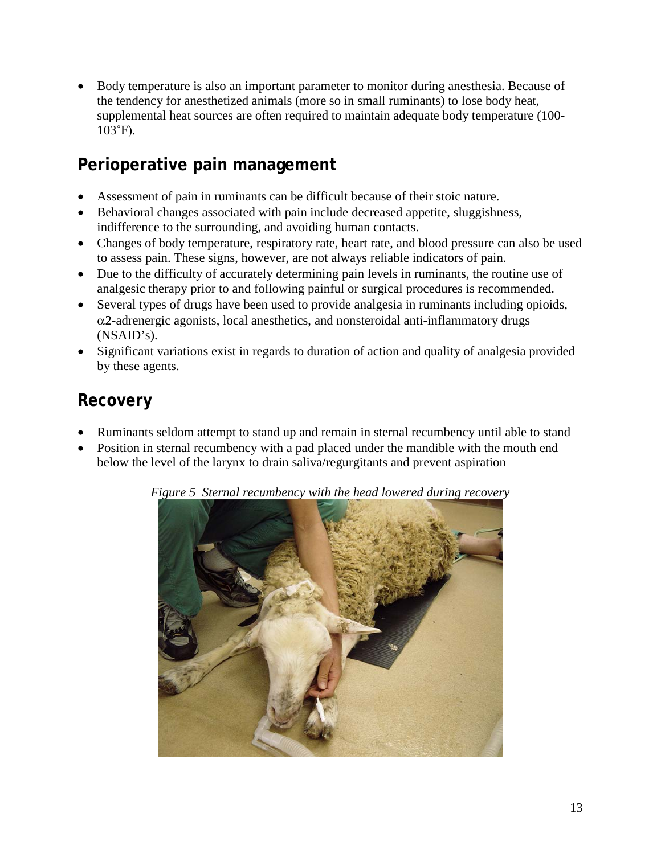• Body temperature is also an important parameter to monitor during anesthesia. Because of the tendency for anesthetized animals (more so in small ruminants) to lose body heat, supplemental heat sources are often required to maintain adequate body temperature (100-  $103°F$ ).

## **Perioperative pain management**

- Assessment of pain in ruminants can be difficult because of their stoic nature.
- Behavioral changes associated with pain include decreased appetite, sluggishness, indifference to the surrounding, and avoiding human contacts.
- Changes of body temperature, respiratory rate, heart rate, and blood pressure can also be used to assess pain. These signs, however, are not always reliable indicators of pain.
- Due to the difficulty of accurately determining pain levels in ruminants, the routine use of analgesic therapy prior to and following painful or surgical procedures is recommended.
- Several types of drugs have been used to provide analgesia in ruminants including opioids,  $\alpha$ 2-adrenergic agonists, local anesthetics, and nonsteroidal anti-inflammatory drugs (NSAID's).
- Significant variations exist in regards to duration of action and quality of analgesia provided by these agents.

# **Recovery**

- Ruminants seldom attempt to stand up and remain in sternal recumbency until able to stand
- Position in sternal recumbency with a pad placed under the mandible with the mouth end below the level of the larynx to drain saliva/regurgitants and prevent aspiration



*Figure 5 Sternal recumbency with the head lowered during recovery*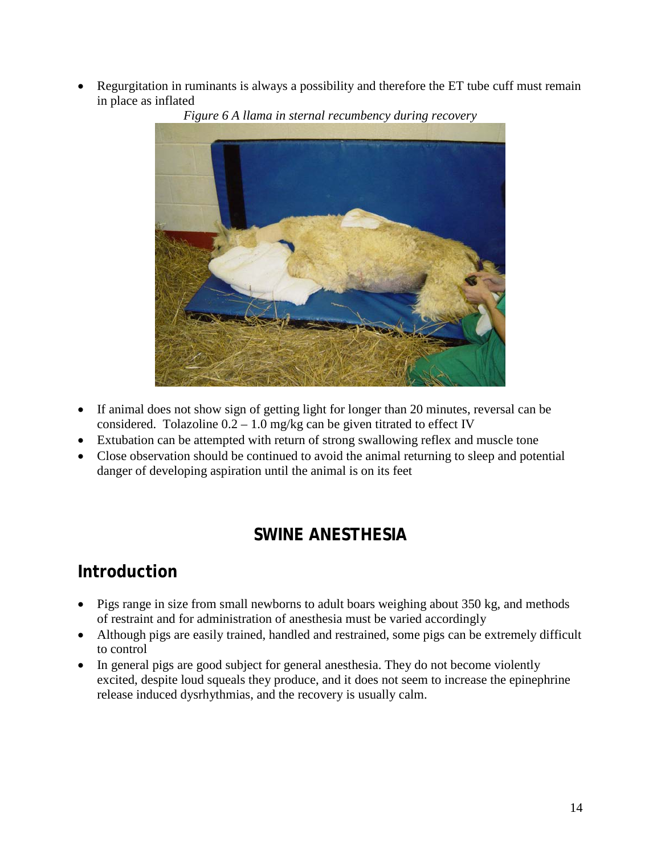• Regurgitation in ruminants is always a possibility and therefore the ET tube cuff must remain in place as inflated



*Figure 6 A llama in sternal recumbency during recovery*

- If animal does not show sign of getting light for longer than 20 minutes, reversal can be considered. Tolazoline  $0.2 - 1.0$  mg/kg can be given titrated to effect IV
- Extubation can be attempted with return of strong swallowing reflex and muscle tone
- Close observation should be continued to avoid the animal returning to sleep and potential danger of developing aspiration until the animal is on its feet

## **SWINE ANESTHESIA**

## **Introduction**

- Pigs range in size from small newborns to adult boars weighing about 350 kg, and methods of restraint and for administration of anesthesia must be varied accordingly
- Although pigs are easily trained, handled and restrained, some pigs can be extremely difficult to control
- In general pigs are good subject for general anesthesia. They do not become violently excited, despite loud squeals they produce, and it does not seem to increase the epinephrine release induced dysrhythmias, and the recovery is usually calm.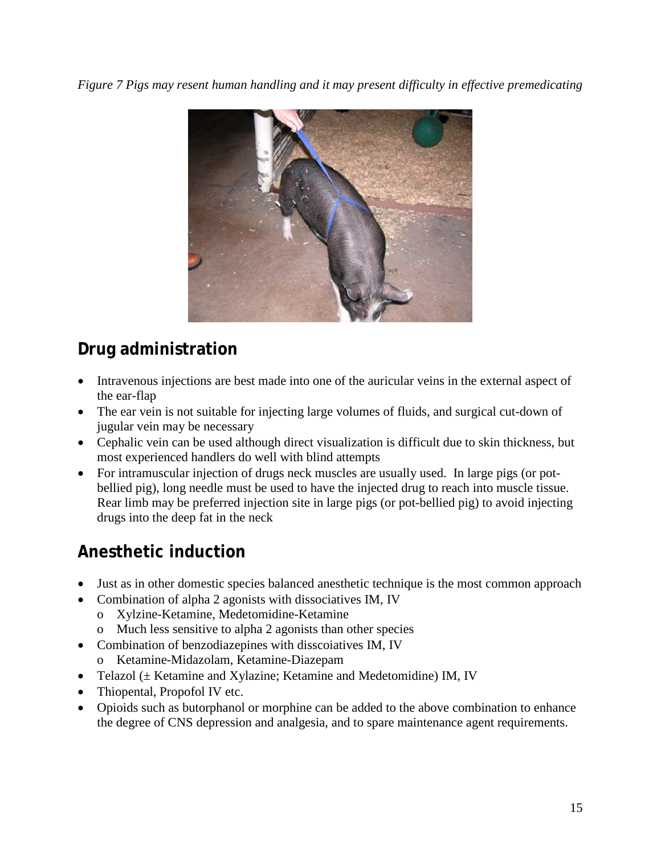*Figure 7 Pigs may resent human handling and it may present difficulty in effective premedicating*



# **Drug administration**

- Intravenous injections are best made into one of the auricular veins in the external aspect of the ear-flap
- The ear vein is not suitable for injecting large volumes of fluids, and surgical cut-down of jugular vein may be necessary
- Cephalic vein can be used although direct visualization is difficult due to skin thickness, but most experienced handlers do well with blind attempts
- For intramuscular injection of drugs neck muscles are usually used. In large pigs (or potbellied pig), long needle must be used to have the injected drug to reach into muscle tissue. Rear limb may be preferred injection site in large pigs (or pot-bellied pig) to avoid injecting drugs into the deep fat in the neck

# **Anesthetic induction**

- Just as in other domestic species balanced anesthetic technique is the most common approach
- Combination of alpha 2 agonists with dissociatives IM, IV
	- o Xylzine-Ketamine, Medetomidine-Ketamine
	- o Much less sensitive to alpha 2 agonists than other species
- Combination of benzodiazepines with disscoiatives IM, IV o Ketamine-Midazolam, Ketamine-Diazepam
- Telazol ( $\pm$  Ketamine and Xylazine; Ketamine and Medetomidine) IM, IV
- Thiopental, Propofol IV etc.
- Opioids such as butorphanol or morphine can be added to the above combination to enhance the degree of CNS depression and analgesia, and to spare maintenance agent requirements.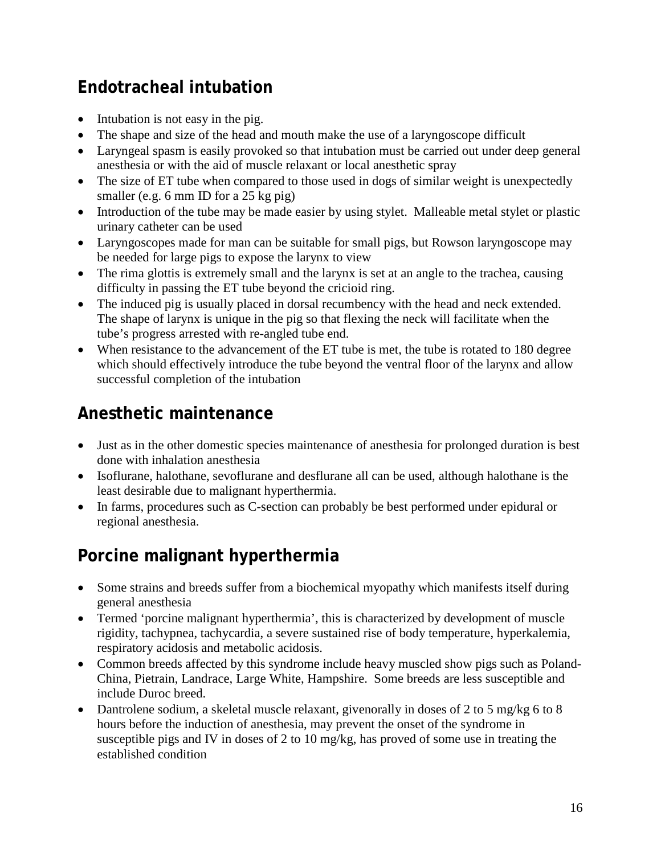# **Endotracheal intubation**

- Intubation is not easy in the pig.
- The shape and size of the head and mouth make the use of a laryngoscope difficult
- Laryngeal spasm is easily provoked so that intubation must be carried out under deep general anesthesia or with the aid of muscle relaxant or local anesthetic spray
- The size of ET tube when compared to those used in dogs of similar weight is unexpectedly smaller (e.g. 6 mm ID for a 25 kg pig)
- Introduction of the tube may be made easier by using stylet. Malleable metal stylet or plastic urinary catheter can be used
- Laryngoscopes made for man can be suitable for small pigs, but Rowson laryngoscope may be needed for large pigs to expose the larynx to view
- The rima glottis is extremely small and the larynx is set at an angle to the trachea, causing difficulty in passing the ET tube beyond the cricioid ring.
- The induced pig is usually placed in dorsal recumbency with the head and neck extended. The shape of larynx is unique in the pig so that flexing the neck will facilitate when the tube's progress arrested with re-angled tube end.
- When resistance to the advancement of the ET tube is met, the tube is rotated to 180 degree which should effectively introduce the tube beyond the ventral floor of the larynx and allow successful completion of the intubation

## **Anesthetic maintenance**

- Just as in the other domestic species maintenance of anesthesia for prolonged duration is best done with inhalation anesthesia
- Isoflurane, halothane, sevoflurane and desflurane all can be used, although halothane is the least desirable due to malignant hyperthermia.
- In farms, procedures such as C-section can probably be best performed under epidural or regional anesthesia.

# **Porcine malignant hyperthermia**

- Some strains and breeds suffer from a biochemical myopathy which manifests itself during general anesthesia
- Termed 'porcine malignant hyperthermia', this is characterized by development of muscle rigidity, tachypnea, tachycardia, a severe sustained rise of body temperature, hyperkalemia, respiratory acidosis and metabolic acidosis.
- Common breeds affected by this syndrome include heavy muscled show pigs such as Poland-China, Pietrain, Landrace, Large White, Hampshire. Some breeds are less susceptible and include Duroc breed.
- Dantrolene sodium, a skeletal muscle relaxant, given orally in doses of 2 to 5 mg/kg 6 to 8 hours before the induction of anesthesia, may prevent the onset of the syndrome in susceptible pigs and IV in doses of 2 to 10 mg/kg, has proved of some use in treating the established condition